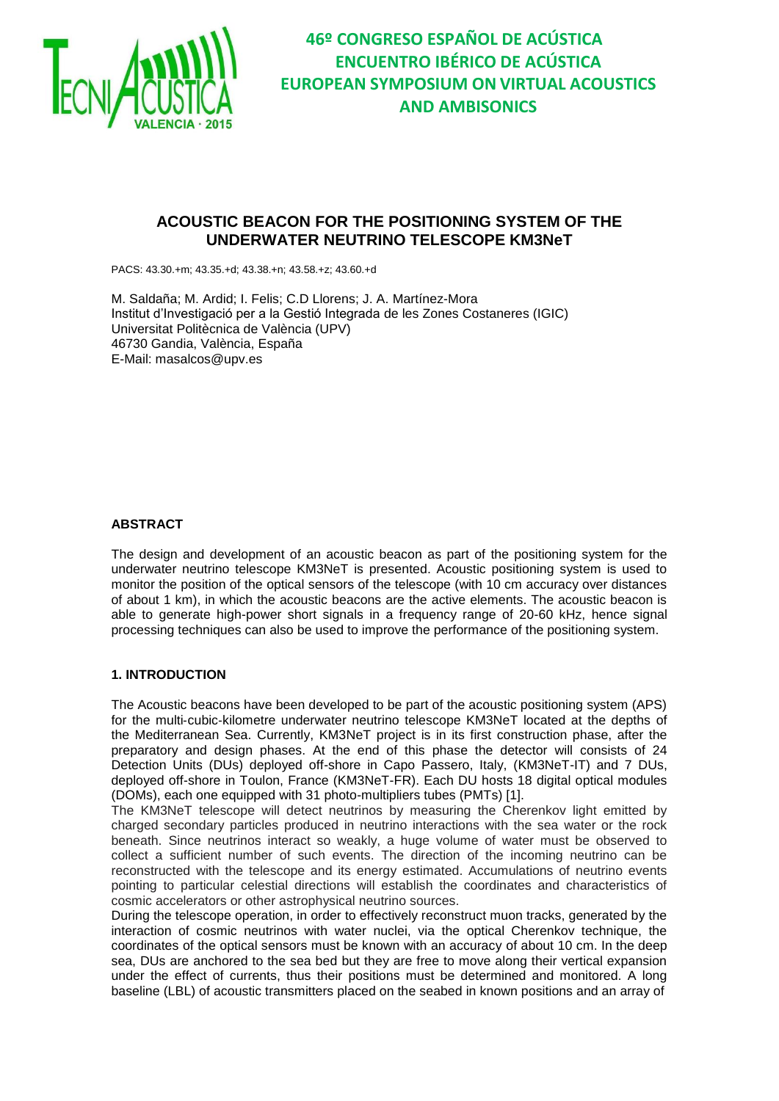

# **ACOUSTIC BEACON FOR THE POSITIONING SYSTEM OF THE UNDERWATER NEUTRINO TELESCOPE KM3NeT**

PACS: 43.30.+m; 43.35.+d; 43.38.+n; 43.58.+z; 43.60.+d

M. Saldaña; M. Ardid; I. Felis; C.D Llorens; J. A. Martínez-Mora Institut d'Investigació per a la Gestió Integrada de les Zones Costaneres (IGIC) Universitat Politècnica de València (UPV) 46730 Gandia, València, España E-Mail: masalcos@upv.es

#### **ABSTRACT**

The design and development of an acoustic beacon as part of the positioning system for the underwater neutrino telescope KM3NeT is presented. Acoustic positioning system is used to monitor the position of the optical sensors of the telescope (with 10 cm accuracy over distances of about 1 km), in which the acoustic beacons are the active elements. The acoustic beacon is able to generate high-power short signals in a frequency range of 20-60 kHz, hence signal processing techniques can also be used to improve the performance of the positioning system.

#### **1. INTRODUCTION**

The Acoustic beacons have been developed to be part of the acoustic positioning system (APS) for the multi‐cubic‐kilometre underwater neutrino telescope KM3NeT located at the depths of the Mediterranean Sea. Currently, KM3NeT project is in its first construction phase, after the preparatory and design phases. At the end of this phase the detector will consists of 24 Detection Units (DUs) deployed off-shore in Capo Passero, Italy, (KM3NeT-IT) and 7 DUs, deployed off-shore in Toulon, France (KM3NeT-FR). Each DU hosts 18 digital optical modules (DOMs), each one equipped with 31 photo-multipliers tubes (PMTs) [1].

The KM3NeT telescope will detect neutrinos by measuring the Cherenkov light emitted by charged secondary particles produced in neutrino interactions with the sea water or the rock beneath. Since neutrinos interact so weakly, a huge volume of water must be observed to collect a sufficient number of such events. The direction of the incoming neutrino can be reconstructed with the telescope and its energy estimated. Accumulations of neutrino events pointing to particular celestial directions will establish the coordinates and characteristics of cosmic accelerators or other astrophysical neutrino sources.

During the telescope operation, in order to effectively reconstruct muon tracks, generated by the interaction of cosmic neutrinos with water nuclei, via the optical Cherenkov technique, the coordinates of the optical sensors must be known with an accuracy of about 10 cm. In the deep sea, DUs are anchored to the sea bed but they are free to move along their vertical expansion under the effect of currents, thus their positions must be determined and monitored. A long baseline (LBL) of acoustic transmitters placed on the seabed in known positions and an array of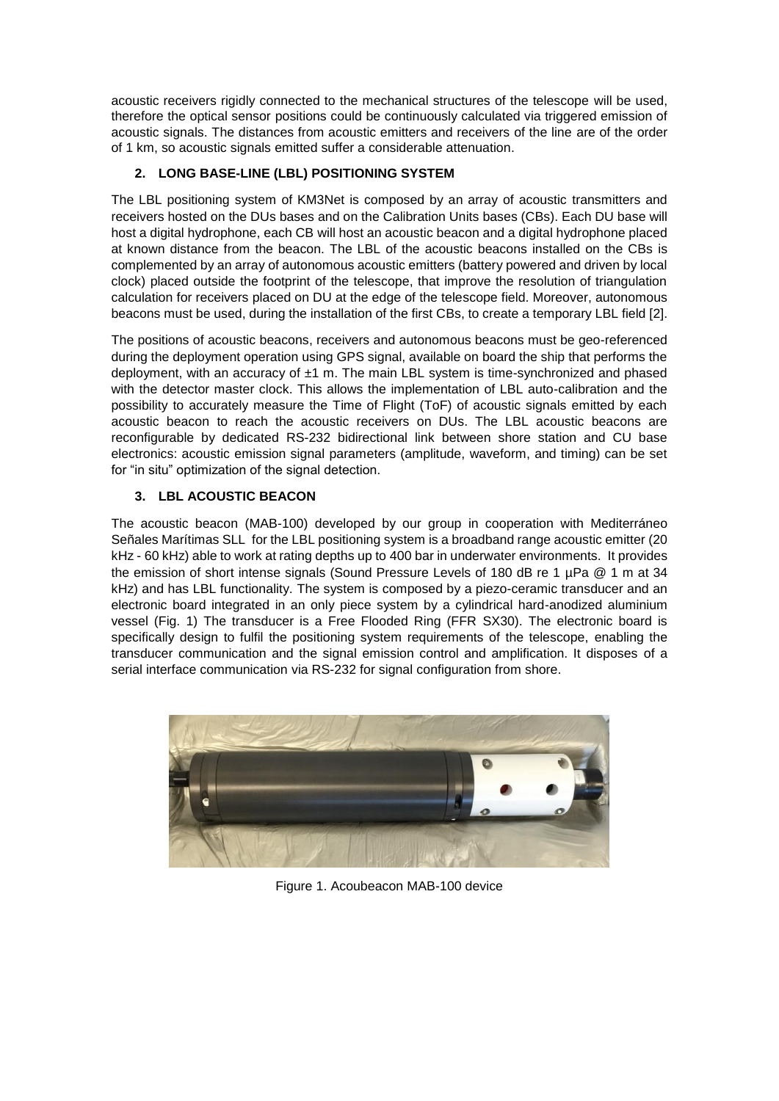acoustic receivers rigidly connected to the mechanical structures of the telescope will be used, therefore the optical sensor positions could be continuously calculated via triggered emission of acoustic signals. The distances from acoustic emitters and receivers of the line are of the order of 1 km, so acoustic signals emitted suffer a considerable attenuation.

## **2. LONG BASE-LINE (LBL) POSITIONING SYSTEM**

The LBL positioning system of KM3Net is composed by an array of acoustic transmitters and receivers hosted on the DUs bases and on the Calibration Units bases (CBs). Each DU base will host a digital hydrophone, each CB will host an acoustic beacon and a digital hydrophone placed at known distance from the beacon. The LBL of the acoustic beacons installed on the CBs is complemented by an array of autonomous acoustic emitters (battery powered and driven by local clock) placed outside the footprint of the telescope, that improve the resolution of triangulation calculation for receivers placed on DU at the edge of the telescope field. Moreover, autonomous beacons must be used, during the installation of the first CBs, to create a temporary LBL field [2].

The positions of acoustic beacons, receivers and autonomous beacons must be geo-referenced during the deployment operation using GPS signal, available on board the ship that performs the deployment, with an accuracy of  $±1$  m. The main LBL system is time-synchronized and phased with the detector master clock. This allows the implementation of LBL auto-calibration and the possibility to accurately measure the Time of Flight (ToF) of acoustic signals emitted by each acoustic beacon to reach the acoustic receivers on DUs. The LBL acoustic beacons are reconfigurable by dedicated RS-232 bidirectional link between shore station and CU base electronics: acoustic emission signal parameters (amplitude, waveform, and timing) can be set for "in situ" optimization of the signal detection.

### **3. LBL ACOUSTIC BEACON**

The acoustic beacon (MAB-100) developed by our group in cooperation with Mediterráneo Señales Marítimas SLL for the LBL positioning system is a broadband range acoustic emitter (20 kHz - 60 kHz) able to work at rating depths up to 400 bar in underwater environments. It provides the emission of short intense signals (Sound Pressure Levels of 180 dB re 1 µPa @ 1 m at 34 kHz) and has LBL functionality. The system is composed by a piezo-ceramic transducer and an electronic board integrated in an only piece system by a cylindrical hard-anodized aluminium vessel (Fig. 1) The transducer is a Free Flooded Ring (FFR SX30). The electronic board is specifically design to fulfil the positioning system requirements of the telescope, enabling the transducer communication and the signal emission control and amplification. It disposes of a serial interface communication via RS-232 for signal configuration from shore.



Figure 1. Acoubeacon MAB-100 device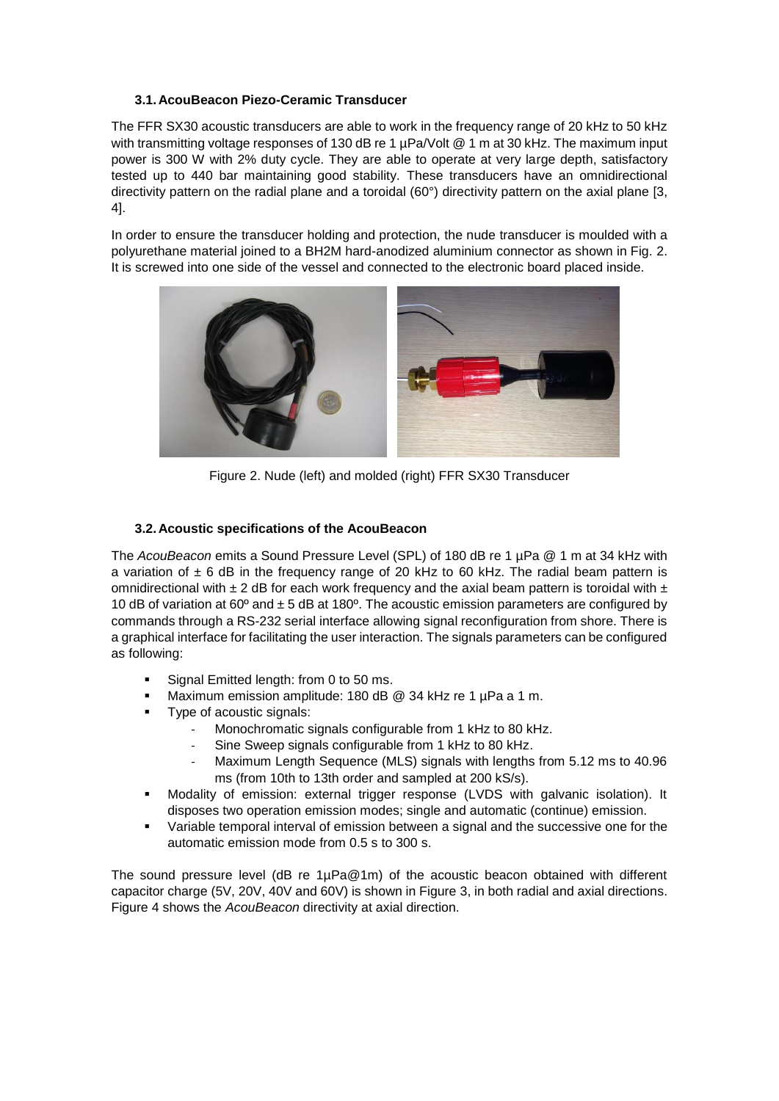### **3.1. AcouBeacon Piezo-Ceramic Transducer**

The FFR SX30 acoustic transducers are able to work in the frequency range of 20 kHz to 50 kHz with transmitting voltage responses of 130 dB re 1 µPa/Volt @ 1 m at 30 kHz. The maximum input power is 300 W with 2% duty cycle. They are able to operate at very large depth, satisfactory tested up to 440 bar maintaining good stability. These transducers have an omnidirectional directivity pattern on the radial plane and a toroidal (60°) directivity pattern on the axial plane [3, 4].

In order to ensure the transducer holding and protection, the nude transducer is moulded with a polyurethane material joined to a BH2M hard-anodized aluminium connector as shown in Fig. 2. It is screwed into one side of the vessel and connected to the electronic board placed inside.



Figure 2. Nude (left) and molded (right) FFR SX30 Transducer

### **3.2. Acoustic specifications of the AcouBeacon**

The *AcouBeacon* emits a Sound Pressure Level (SPL) of 180 dB re 1 µPa @ 1 m at 34 kHz with a variation of  $\pm$  6 dB in the frequency range of 20 kHz to 60 kHz. The radial beam pattern is omnidirectional with  $\pm 2$  dB for each work frequency and the axial beam pattern is toroidal with  $\pm$ 10 dB of variation at 60 $^{\circ}$  and  $\pm$  5 dB at 180 $^{\circ}$ . The acoustic emission parameters are configured by commands through a RS-232 serial interface allowing signal reconfiguration from shore. There is a graphical interface for facilitating the user interaction. The signals parameters can be configured as following:

- Signal Emitted length: from 0 to 50 ms.
- Maximum emission amplitude: 180 dB @ 34 kHz re 1 µPa a 1 m.
- Type of acoustic signals:
	- Monochromatic signals configurable from 1 kHz to 80 kHz.
		- Sine Sweep signals configurable from 1 kHz to 80 kHz.
		- Maximum Length Sequence (MLS) signals with lengths from 5.12 ms to 40.96 ms (from 10th to 13th order and sampled at 200 kS/s).
- Modality of emission: external trigger response (LVDS with galvanic isolation). It disposes two operation emission modes; single and automatic (continue) emission.
- Variable temporal interval of emission between a signal and the successive one for the automatic emission mode from 0.5 s to 300 s.

The sound pressure level (dB re  $1\mu Pa@1m$ ) of the acoustic beacon obtained with different capacitor charge (5V, 20V, 40V and 60V) is shown in Figure 3, in both radial and axial directions. Figure 4 shows the *AcouBeacon* directivity at axial direction.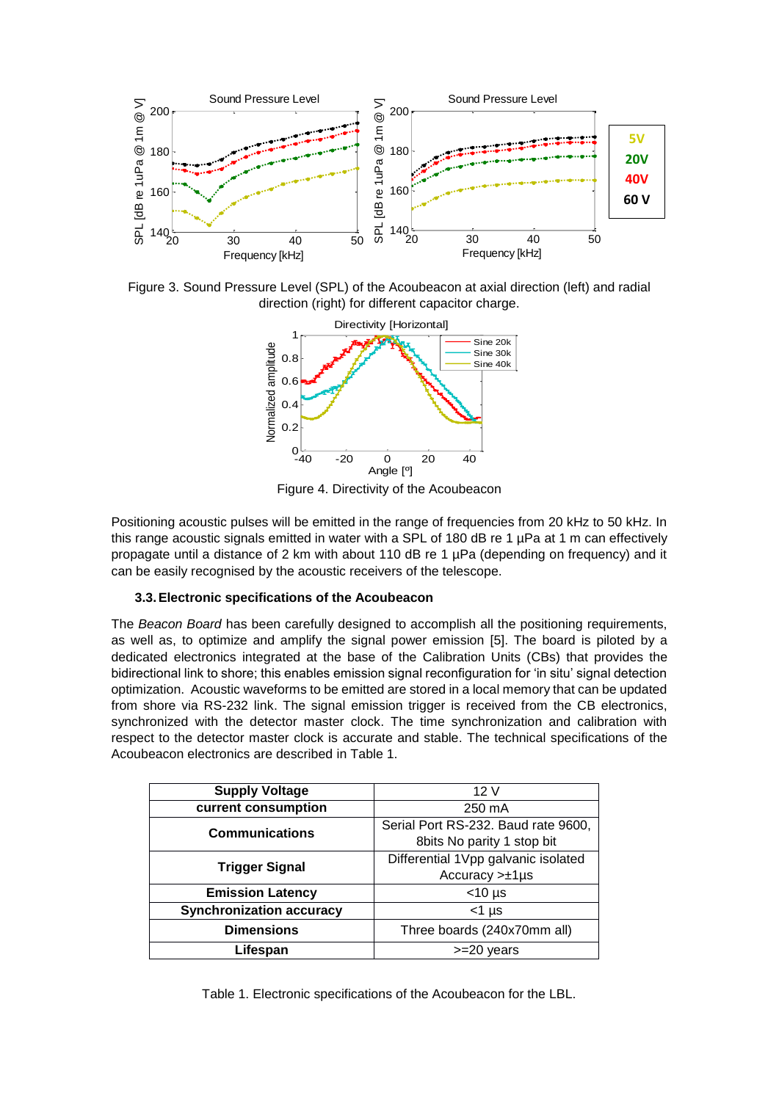

Figure 3. Sound Pressure Level (SPL) of the Acoubeacon at axial direction (left) and radial direction (right) for different capacitor charge.



Figure 4. Directivity of the Acoubeacon

Positioning acoustic pulses will be emitted in the range of frequencies from 20 kHz to 50 kHz. In this range acoustic signals emitted in water with a SPL of 180 dB re 1 µPa at 1 m can effectively propagate until a distance of 2 km with about 110 dB re 1 µPa (depending on frequency) and it can be easily recognised by the acoustic receivers of the telescope.

#### **3.3.Electronic specifications of the Acoubeacon**

The *Beacon Board* has been carefully designed to accomplish all the positioning requirements, as well as, to optimize and amplify the signal power emission [5]. The board is piloted by a dedicated electronics integrated at the base of the Calibration Units (CBs) that provides the bidirectional link to shore; this enables emission signal reconfiguration for 'in situ' signal detection optimization. Acoustic waveforms to be emitted are stored in a local memory that can be updated from shore via RS-232 link. The signal emission trigger is received from the CB electronics, synchronized with the detector master clock. The time synchronization and calibration with respect to the detector master clock is accurate and stable. The technical specifications of the Acoubeacon electronics are described in Table 1.

| <b>Supply Voltage</b>           | 12V                                 |  |
|---------------------------------|-------------------------------------|--|
| current consumption             | 250 mA                              |  |
| <b>Communications</b>           | Serial Port RS-232. Baud rate 9600, |  |
|                                 | 8bits No parity 1 stop bit          |  |
| <b>Trigger Signal</b>           | Differential 1Vpp galvanic isolated |  |
|                                 | $Accuracy > ±1 \mu s$               |  |
| <b>Emission Latency</b>         | $<$ 10 µs                           |  |
| <b>Synchronization accuracy</b> | $<$ 1 µs                            |  |
| <b>Dimensions</b>               | Three boards (240x70mm all)         |  |
| Lifespan                        | $>=20$ years                        |  |

Table 1. Electronic specifications of the Acoubeacon for the LBL.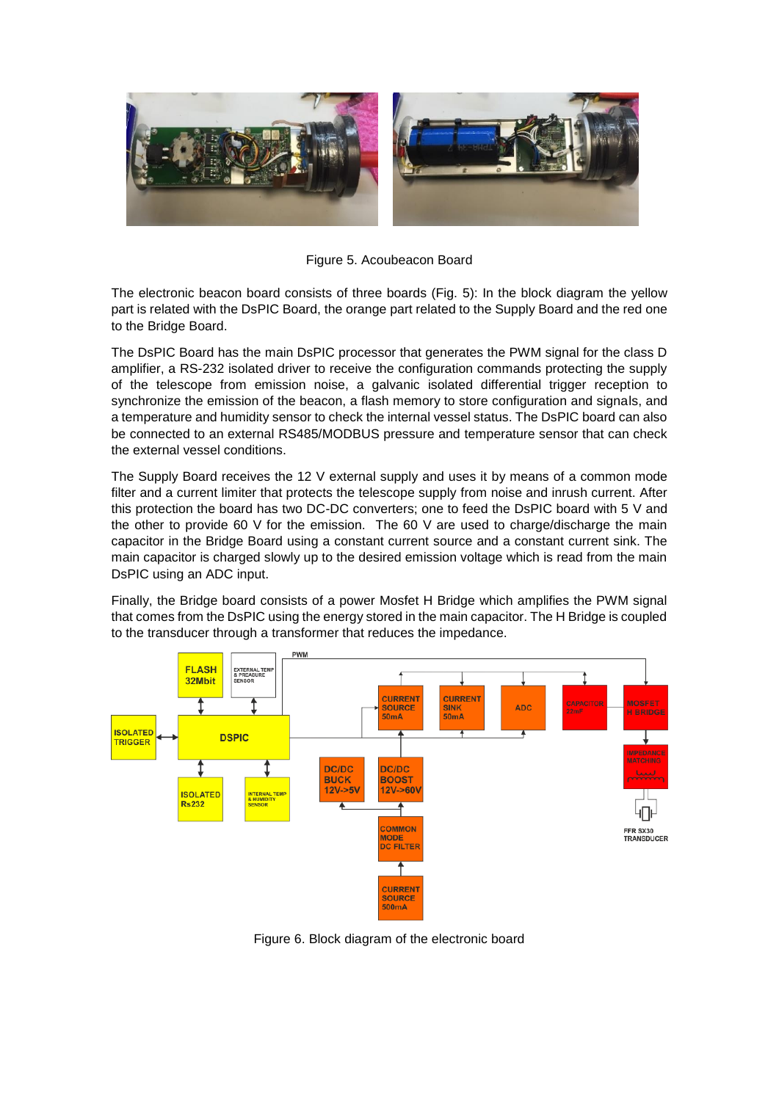

Figure 5. Acoubeacon Board

The electronic beacon board consists of three boards (Fig. 5): In the block diagram the yellow part is related with the DsPIC Board, the orange part related to the Supply Board and the red one to the Bridge Board.

The DsPIC Board has the main DsPIC processor that generates the PWM signal for the class D amplifier, a RS-232 isolated driver to receive the configuration commands protecting the supply of the telescope from emission noise, a galvanic isolated differential trigger reception to synchronize the emission of the beacon, a flash memory to store configuration and signals, and a temperature and humidity sensor to check the internal vessel status. The DsPIC board can also be connected to an external RS485/MODBUS pressure and temperature sensor that can check the external vessel conditions.

The Supply Board receives the 12 V external supply and uses it by means of a common mode filter and a current limiter that protects the telescope supply from noise and inrush current. After this protection the board has two DC-DC converters; one to feed the DsPIC board with 5 V and the other to provide 60 V for the emission. The 60 V are used to charge/discharge the main capacitor in the Bridge Board using a constant current source and a constant current sink. The main capacitor is charged slowly up to the desired emission voltage which is read from the main DsPIC using an ADC input.

Finally, the Bridge board consists of a power Mosfet H Bridge which amplifies the PWM signal that comes from the DsPIC using the energy stored in the main capacitor. The H Bridge is coupled to the transducer through a transformer that reduces the impedance.



Figure 6. Block diagram of the electronic board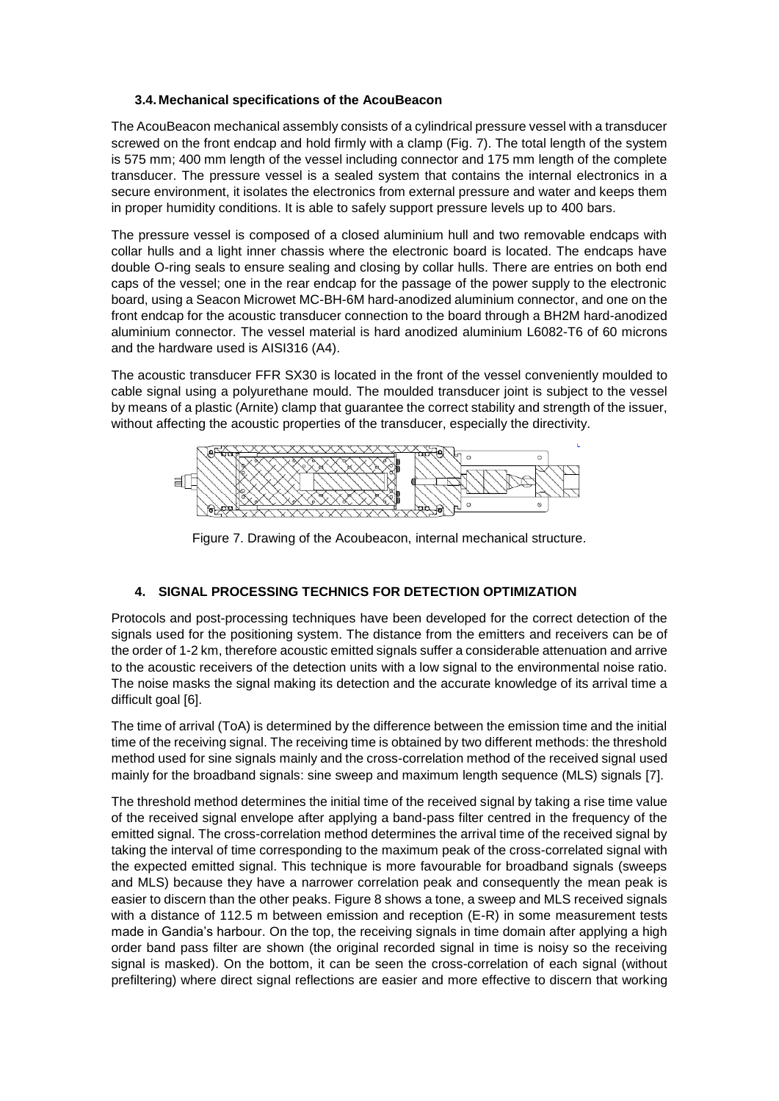#### **3.4. Mechanical specifications of the AcouBeacon**

The AcouBeacon mechanical assembly consists of a cylindrical pressure vessel with a transducer screwed on the front endcap and hold firmly with a clamp (Fig. 7). The total length of the system is 575 mm; 400 mm length of the vessel including connector and 175 mm length of the complete transducer. The pressure vessel is a sealed system that contains the internal electronics in a secure environment, it isolates the electronics from external pressure and water and keeps them in proper humidity conditions. It is able to safely support pressure levels up to 400 bars.

The pressure vessel is composed of a closed aluminium hull and two removable endcaps with collar hulls and a light inner chassis where the electronic board is located. The endcaps have double O-ring seals to ensure sealing and closing by collar hulls. There are entries on both end caps of the vessel; one in the rear endcap for the passage of the power supply to the electronic board, using a Seacon Microwet MC-BH-6M hard-anodized aluminium connector, and one on the front endcap for the acoustic transducer connection to the board through a BH2M hard-anodized aluminium connector. The vessel material is hard anodized aluminium L6082-T6 of 60 microns and the hardware used is AISI316 (A4).

The acoustic transducer FFR SX30 is located in the front of the vessel conveniently moulded to cable signal using a polyurethane mould. The moulded transducer joint is subject to the vessel by means of a plastic (Arnite) clamp that guarantee the correct stability and strength of the issuer, without affecting the acoustic properties of the transducer, especially the directivity.



Figure 7. Drawing of the Acoubeacon, internal mechanical structure.

### **4. SIGNAL PROCESSING TECHNICS FOR DETECTION OPTIMIZATION**

Protocols and post-processing techniques have been developed for the correct detection of the signals used for the positioning system. The distance from the emitters and receivers can be of the order of 1-2 km, therefore acoustic emitted signals suffer a considerable attenuation and arrive to the acoustic receivers of the detection units with a low signal to the environmental noise ratio. The noise masks the signal making its detection and the accurate knowledge of its arrival time a difficult goal [6].

The time of arrival (ToA) is determined by the difference between the emission time and the initial time of the receiving signal. The receiving time is obtained by two different methods: the threshold method used for sine signals mainly and the cross-correlation method of the received signal used mainly for the broadband signals: sine sweep and maximum length sequence (MLS) signals [7].

The threshold method determines the initial time of the received signal by taking a rise time value of the received signal envelope after applying a band-pass filter centred in the frequency of the emitted signal. The cross-correlation method determines the arrival time of the received signal by taking the interval of time corresponding to the maximum peak of the cross-correlated signal with the expected emitted signal. This technique is more favourable for broadband signals (sweeps and MLS) because they have a narrower correlation peak and consequently the mean peak is easier to discern than the other peaks. Figure 8 shows a tone, a sweep and MLS received signals with a distance of 112.5 m between emission and reception (E-R) in some measurement tests made in Gandia's harbour. On the top, the receiving signals in time domain after applying a high order band pass filter are shown (the original recorded signal in time is noisy so the receiving signal is masked). On the bottom, it can be seen the cross-correlation of each signal (without prefiltering) where direct signal reflections are easier and more effective to discern that working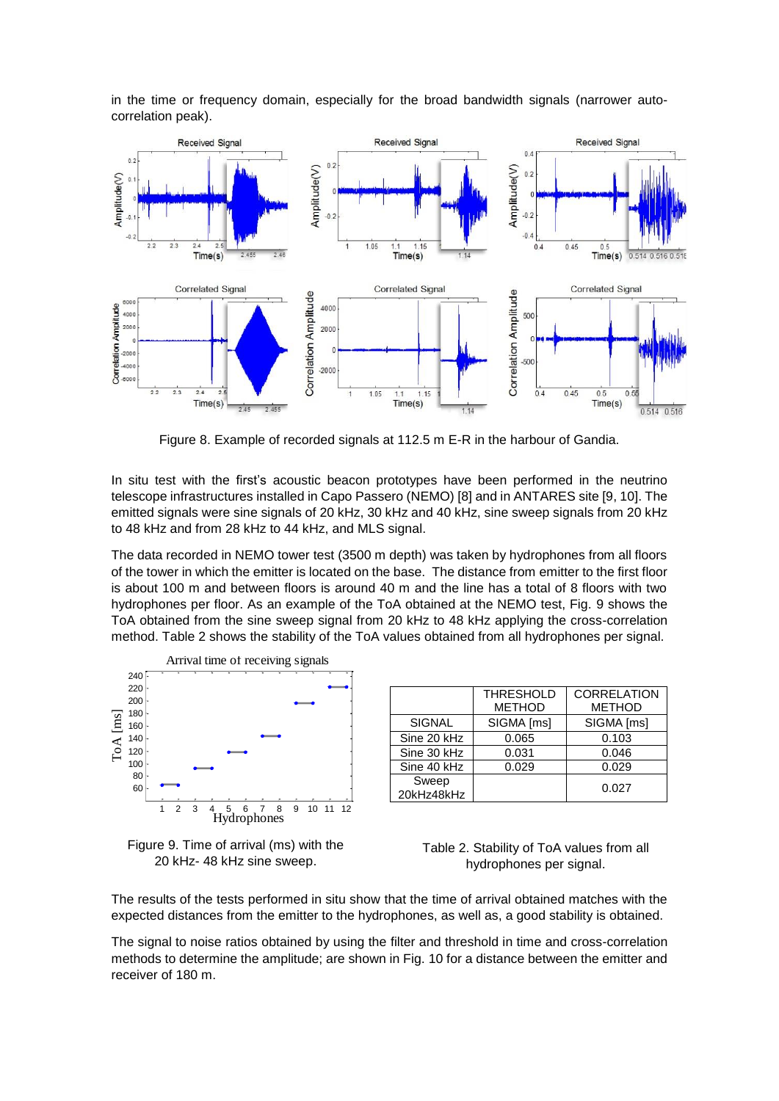in the time or frequency domain, especially for the broad bandwidth signals (narrower autocorrelation peak).



Figure 8. Example of recorded signals at 112.5 m E-R in the harbour of Gandia.

In situ test with the first's acoustic beacon prototypes have been performed in the neutrino telescope infrastructures installed in Capo Passero (NEMO) [8] and in ANTARES site [9, 10]. The emitted signals were sine signals of 20 kHz, 30 kHz and 40 kHz, sine sweep signals from 20 kHz to 48 kHz and from 28 kHz to 44 kHz, and MLS signal.

The data recorded in NEMO tower test (3500 m depth) was taken by hydrophones from all floors of the tower in which the emitter is located on the base. The distance from emitter to the first floor is about 100 m and between floors is around 40 m and the line has a total of 8 floors with two hydrophones per floor. As an example of the ToA obtained at the NEMO test, Fig. 9 shows the ToA obtained from the sine sweep signal from 20 kHz to 48 kHz applying the cross-correlation method. Table 2 shows the stability of the ToA values obtained from all hydrophones per signal.





|                     | <b>THRESHOLD</b> | <b>CORRELATION</b> |
|---------------------|------------------|--------------------|
|                     | <b>METHOD</b>    | <b>METHOD</b>      |
| <b>SIGNAL</b>       | SIGMA [ms]       | SIGMA [ms]         |
| Sine 20 kHz         | 0.065            | 0.103              |
| Sine 30 kHz         | 0.031            | 0.046              |
| Sine 40 kHz         | 0.029            | 0.029              |
| Sweep<br>20kHz48kHz |                  | 0.027              |

Table 2. Stability of ToA values from all hydrophones per signal.

The results of the tests performed in situ show that the time of arrival obtained matches with the expected distances from the emitter to the hydrophones, as well as, a good stability is obtained.

The signal to noise ratios obtained by using the filter and threshold in time and cross-correlation methods to determine the amplitude; are shown in Fig. 10 for a distance between the emitter and receiver of 180 m.